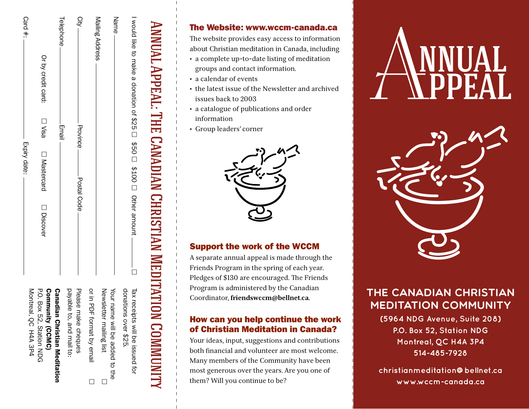| Card #:<br>Expiry date:   | Or by credit card:<br>□ Visa<br>□ Mastercard<br>□ Discover                          | Telephone<br>Email       | Qity<br>Province<br>Postal Code |                           | Mailing Address<br>Name                                       | I «рание в арпасия 926 □ \$50 □ \$100 □ pther авреститель |
|---------------------------|-------------------------------------------------------------------------------------|--------------------------|---------------------------------|---------------------------|---------------------------------------------------------------|-----------------------------------------------------------|
| Montrea<br>al, QC H4A 3P4 | P.O. Box 22, Station NDG<br>Community (CCMC)<br><b>Canadian Cristian Meditation</b> | payable to, and mail to: | Please make cheques             | or in PDF format by email | Newslet<br>Your name will be added to the<br>ter mailing list | Qonations over \$20.<br>Tax receipts will be issued for   |

Annual Appeal: The Canadian Christian Meditation Community

ANNUAL APPEAL: THE CANADIAN CHRISTIAN MEDITATION COMMUNITY

# The Website: www.wccm-canada.ca

The website provides easy access to information about Christian meditation in Canada, including

- a complete up-to-date listing of meditation groups and contact information.
- a calendar of events
- the latest issue of the Newsletter and archived issues back to 2003
- a catalogue of publications and order information
- Group leaders' corner



## Support the work of the WCCM

A separate annual appeal is made through the Friends Program in the spring of each year. Pledges of \$130 are encouraged. The Friends Program is administered by the Canadian Coordinator, **friendswccm@bellnet.ca.**

#### How can you help continue the work of Christian Meditation in Canada?

Your ideas, input, suggestions and contributions both financial and volunteer are most welcome. Many members of the Community have been most generous over the years. Are you one of them? Will you continue to be?





# The Canadian Christian Meditation Community

**(5964 NDG Avenue, Suite 208) P.O. Box 52, Station NDG Montreal, QC H4A 3P4 514-485-7928** 

**christianmeditation@bellnet.ca www.wccm-canada.ca**